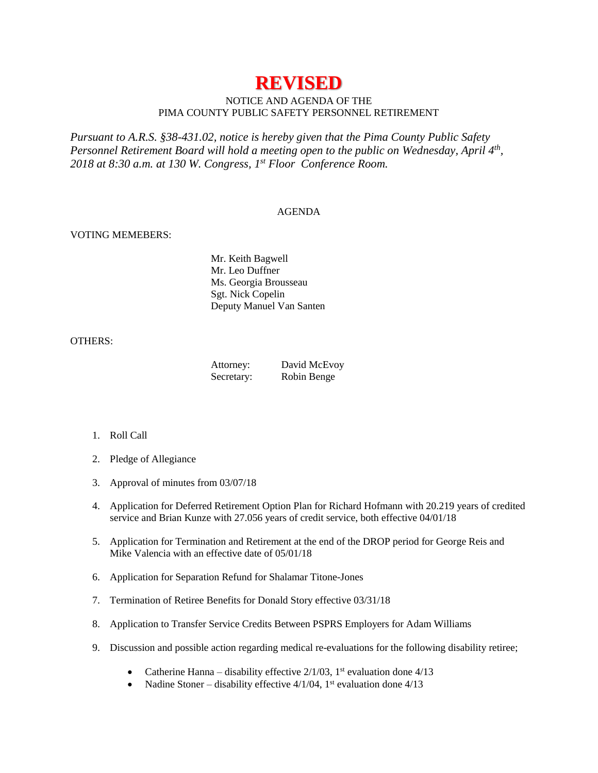# **REVISED**

# NOTICE AND AGENDA OF THE PIMA COUNTY PUBLIC SAFETY PERSONNEL RETIREMENT

*Pursuant to A.R.S. §38-431.02, notice is hereby given that the Pima County Public Safety Personnel Retirement Board will hold a meeting open to the public on Wednesday, April 4th , 2018 at 8:30 a.m. at 130 W. Congress, 1 st Floor Conference Room.*

#### AGENDA

## VOTING MEMEBERS:

Mr. Keith Bagwell Mr. Leo Duffner Ms. Georgia Brousseau Sgt. Nick Copelin Deputy Manuel Van Santen

## OTHERS:

| Attorney:  | David McEvoy |
|------------|--------------|
| Secretary: | Robin Benge  |

- 1. Roll Call
- 2. Pledge of Allegiance
- 3. Approval of minutes from 03/07/18
- 4. Application for Deferred Retirement Option Plan for Richard Hofmann with 20.219 years of credited service and Brian Kunze with 27.056 years of credit service, both effective 04/01/18
- 5. Application for Termination and Retirement at the end of the DROP period for George Reis and Mike Valencia with an effective date of 05/01/18
- 6. Application for Separation Refund for Shalamar Titone-Jones
- 7. Termination of Retiree Benefits for Donald Story effective 03/31/18
- 8. Application to Transfer Service Credits Between PSPRS Employers for Adam Williams
- 9. Discussion and possible action regarding medical re-evaluations for the following disability retiree;
	- Catherine Hanna disability effective  $2/1/03$ , 1<sup>st</sup> evaluation done  $4/13$
	- Nadine Stoner disability effective  $4/1/04$ , 1<sup>st</sup> evaluation done  $4/13$